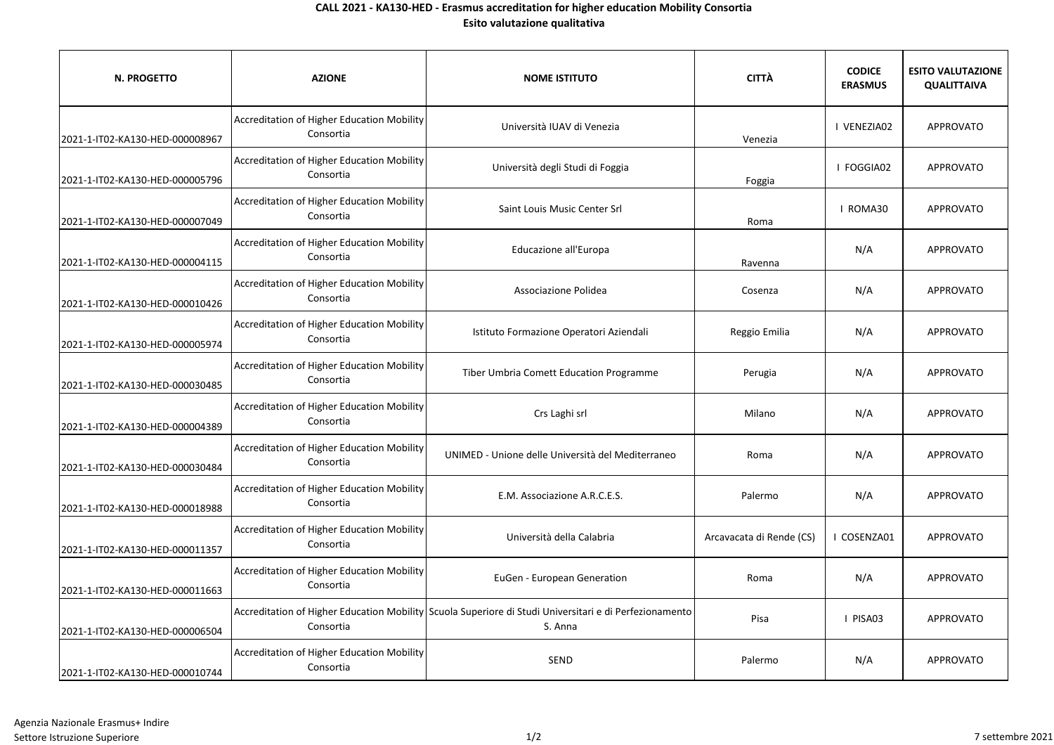## **CALL 2021 - KA130-HED - Erasmus accreditation for higher education Mobility Consortia Esito valutazione qualitativa**

| N. PROGETTO                     | <b>AZIONE</b>                                                  | <b>NOME ISTITUTO</b>                                                                                              | <b>CITTÀ</b>             | <b>CODICE</b><br><b>ERASMUS</b> | <b>ESITO VALUTAZIONE</b><br><b>QUALITTAIVA</b> |
|---------------------------------|----------------------------------------------------------------|-------------------------------------------------------------------------------------------------------------------|--------------------------|---------------------------------|------------------------------------------------|
| 2021-1-IT02-KA130-HED-000008967 | Accreditation of Higher Education Mobility<br>Consortia        | Università IUAV di Venezia                                                                                        | Venezia                  | I VENEZIA02                     | APPROVATO                                      |
| 2021-1-IT02-KA130-HED-000005796 | Accreditation of Higher Education Mobility<br>Consortia        | Università degli Studi di Foggia                                                                                  | Foggia                   | I FOGGIA02                      | <b>APPROVATO</b>                               |
| 2021-1-IT02-KA130-HED-000007049 | Accreditation of Higher Education Mobility<br>Consortia        | Saint Louis Music Center Srl                                                                                      | Roma                     | I ROMA30                        | APPROVATO                                      |
| 2021-1-IT02-KA130-HED-000004115 | Accreditation of Higher Education Mobility<br>Consortia        | Educazione all'Europa                                                                                             | Ravenna                  | N/A                             | APPROVATO                                      |
| 2021-1-IT02-KA130-HED-000010426 | Accreditation of Higher Education Mobility<br>Consortia        | Associazione Polidea                                                                                              | Cosenza                  | N/A                             | <b>APPROVATO</b>                               |
| 2021-1-IT02-KA130-HED-000005974 | Accreditation of Higher Education Mobility<br>Consortia        | Istituto Formazione Operatori Aziendali                                                                           | Reggio Emilia            | N/A                             | APPROVATO                                      |
| 2021-1-IT02-KA130-HED-000030485 | <b>Accreditation of Higher Education Mobility</b><br>Consortia | Tiber Umbria Comett Education Programme                                                                           | Perugia                  | N/A                             | APPROVATO                                      |
| 2021-1-IT02-KA130-HED-000004389 | Accreditation of Higher Education Mobility<br>Consortia        | Crs Laghi srl                                                                                                     | Milano                   | N/A                             | <b>APPROVATO</b>                               |
| 2021-1-IT02-KA130-HED-000030484 | Accreditation of Higher Education Mobility<br>Consortia        | UNIMED - Unione delle Università del Mediterraneo                                                                 | Roma                     | N/A                             | APPROVATO                                      |
| 2021-1-IT02-KA130-HED-000018988 | Accreditation of Higher Education Mobility<br>Consortia        | E.M. Associazione A.R.C.E.S.                                                                                      | Palermo                  | N/A                             | APPROVATO                                      |
| 2021-1-IT02-KA130-HED-000011357 | Accreditation of Higher Education Mobility<br>Consortia        | Università della Calabria                                                                                         | Arcavacata di Rende (CS) | COSENZA01                       | APPROVATO                                      |
| 2021-1-IT02-KA130-HED-000011663 | Accreditation of Higher Education Mobility<br>Consortia        | EuGen - European Generation                                                                                       | Roma                     | N/A                             | APPROVATO                                      |
| 2021-1-IT02-KA130-HED-000006504 | Consortia                                                      | Accreditation of Higher Education Mobility Scuola Superiore di Studi Universitari e di Perfezionamento<br>S. Anna | Pisa                     | I PISA03                        | APPROVATO                                      |
| 2021-1-IT02-KA130-HED-000010744 | <b>Accreditation of Higher Education Mobility</b><br>Consortia | SEND                                                                                                              | Palermo                  | N/A                             | APPROVATO                                      |